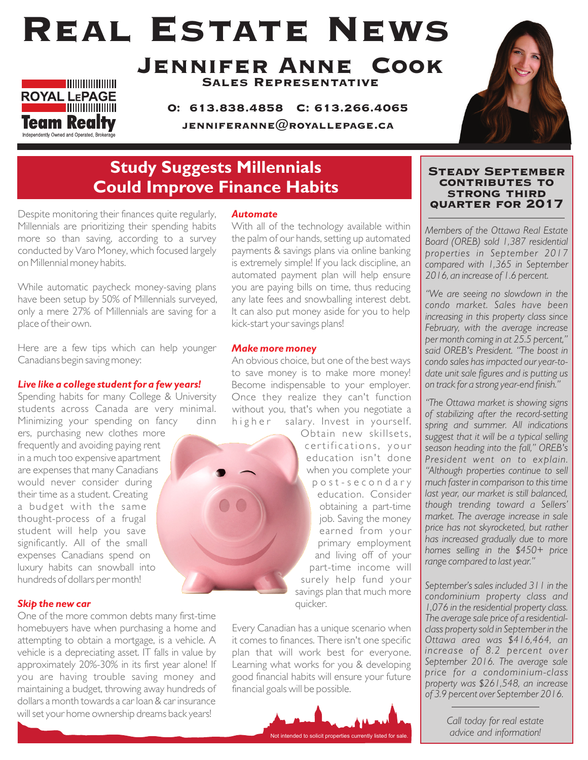# Real Estate News



Jennifer Anne Cook Sales Representative

O: 613.838.4858 C: 613.266.4065 JENNIFERANNE $@$ ROYALLEPAGE.CA



### **Study Suggests Millennials Could Improve Finance Habits**

Despite monitoring their finances quite regularly, Millennials are prioritizing their spending habits more so than saving, according to a survey conducted by Varo Money, which focused largely on Millennial money habits.

While automatic paycheck money-saving plans have been setup by 50% of Millennials surveyed, only a mere 27% of Millennials are saving for a place of their own.

Here are a few tips which can help younger Canadians begin saving money:

#### *Live like a college student for a few years!*

Spending habits for many College & University students across Canada are very minimal. Minimizing your spending on fancy dinn

ers, purchasing new clothes more frequently and avoiding paying rent in a much too expensive apartment are expenses that many Canadians would never consider during their time as a student. Creating a budget with the same thought-process of a frugal student will help you save significantly. All of the small expenses Canadians spend on luxury habits can snowball into hundreds of dollars per month!

#### *Skip the new car*

One of the more common debts many first-time homebuyers have when purchasing a home and attempting to obtain a mortgage, is a vehicle. A vehicle is a depreciating asset. IT falls in value by approximately 20%-30% in its first year alone! If you are having trouble saving money and maintaining a budget, throwing away hundreds of dollars a month towards a car loan & car insurance will set your home ownership dreams back years!

#### *Automate*

With all of the technology available within the palm of our hands, setting up automated payments & savings plans via online banking is extremely simple! If you lack discipline, an automated payment plan will help ensure you are paying bills on time, thus reducing any late fees and snowballing interest debt. It can also put money aside for you to help kick-start your savings plans!

#### *Make more money*

An obvious choice, but one of the best ways to save money is to make more money! Become indispensable to your employer. Once they realize they can't function without you, that's when you negotiate a higher salary. Invest in yourself.

Obtain new skillsets, certifications, your education isn't done when you complete your p o s t - s e c o n d a r y education. Consider obtaining a part-time job. Saving the money earned from your primary employment and living off of your part-time income will surely help fund your savings plan that much more quicker.

Every Canadian has a unique scenario when it comes to finances. There isn't one specific plan that will work best for everyone. Learning what works for you & developing good financial habits will ensure your future financial goals will be possible.



#### Steady September contributes to strong third quarter for 2017

*Members of the Ottawa Real Estate Board (OREB) sold 1,387 residential properties in September 2017 compared with 1,365 in September 2016, an increase of 1.6 percent.* 

*"We are seeing no slowdown in the condo market. Sales have been increasing in this property class since February, with the average increase per month coming in at 25.5 percent," said OREB's President. "The boost in condo sales has impacted our year-todate unit sale figures and is putting us on track for a strong year-end finish."* 

*"The Ottawa market is showing signs of stabilizing after the record-setting spring and summer. All indications suggest that it will be a typical selling season heading into the fall," OREB's President went on to explain. "Although properties continue to sell much faster in comparison to this time last year, our market is still balanced, though trending toward a Sellers' market. The average increase in sale price has not skyrocketed, but rather has increased gradually due to more homes selling in the \$450+ price range compared to last year."*

*September's sales included 311 in the condominium property class and 1,076 in the residential property class. The average sale price of a residentialclass property sold in September in the Ottawa area was \$416,464, an increase of 8.2 percent over September 2016. The average sale price for a condominium-class property was \$261,548, an increase of 3.9 percent over September 2016.* 

> *Call today for real estate advice and information!*